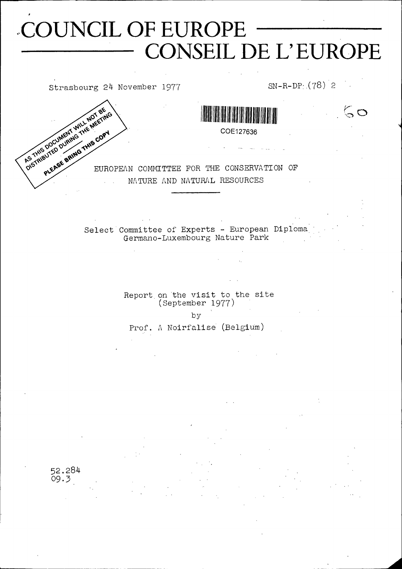# COUNCIL OF EUROPE CONSEIL DE L'EUROPE

Strasbourg 24 November 1977 SN-R-DP<sub>1</sub>(78) 2

 $50$ 



COE127636

EUROPEAN COMMITTEE FOR THE CONSERVATION OF NATURE AND NATURAL RESOURCES

> Select Committee of Experts - European Diploma Germano-Luxembourg Nature Park

> > Report on the visit to the site (September 1977)

> > > by

Prof. A Noirfalise (Belgium)

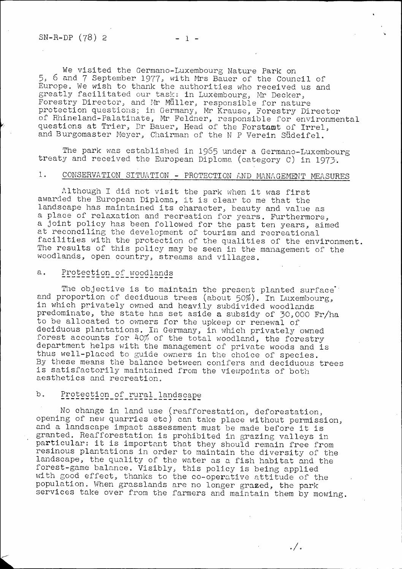We visited the Germano-Luxembourg Nature Park on 5, 6 and 7 September 1977, with Mrs Bauer of the Council of Europe. We wish to thank the authorities who received us and greatly facilitated our task: in Luxembourg, Mr Decker, Forestry Director, and Mr Müller, responsible for nature protection questions; in Germany, Mr Krause, Forestry Director of Rhineland-Palatinate, Mr Feldner, responsible for environmental questions at Trier, Dr Bauer, Head of the Forstamt of Irrel, and Burgomaster Meyer, Chairman of the N P Verein Südeifel.

The park was established in 1965 under a Germano-Luxembourg treaty and received the European Diploma (category C) in 1973-.

## 1. CONSERVATION SITUATION - PROTECTION AND MANAGEMENT MEASURES

Although I did not visit the park when it was first awarded the European Diploma, it is clear to me that the landscape has maintained its character, beauty and value as a place of relaxation and recreation for years. Furthermore, a joint policy has been followed for the past ten years, aimed at reconciling the development of tourism and recreational facilities with the protection of the qualities of the environment. The results of this policy may be seen in the management of the woodlands, open country, streams and villages.

## a. Protection of woodlands

The objective is to maintain the present planted surface and proportion of deciduous trees (about 50%). In Luxembourg, in which privately owned and heavily subdivided woodlands predominate, the state has set aside a subsidy of 30,000 Fr/ha to be allocated to owners for the upkeep or renewal of deciduous plantations. In Germany, in which privately owned forest accounts for  $40\%$  of the total woodland, the forestry department helps with the management of private woods and is thus well-placed to guide owners in the choice of species. By these means the balance between conifers and deciduous trees is satisfactorily maintained from the viewpoints of both aesthetics and recreation.

## b. Protection of rural landscape

No change in land use (reafforestation, deforestation, opening of new quarries etc) can take place without permission, and a landscape impact assessment must be made before it is granted. Reafforestation is prohibited in grazing valleys in particular: it is important that they should remain free from resinous plantations in order to maintain the diversity of the landscape, the quality of the water as a fish habitat and the forest-game balance. Visibly, this policy is being applied with good effect, thanks to the co-operative attitude of the population. When grasslands are no longer grazed, the park services take over from the farmers and maintain them by mowing.

. / .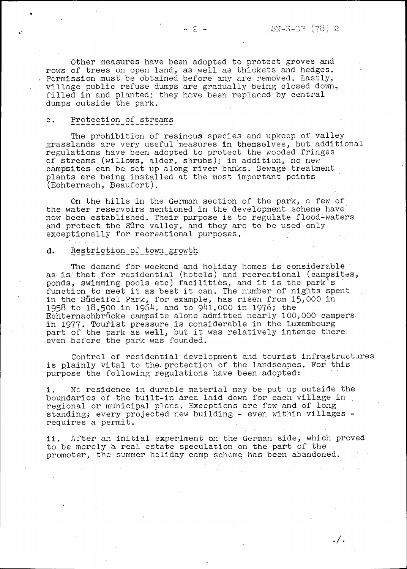$\cdot / \cdot$ 

Other measures have been adopted to protect groves and rows of trees on open land, as well as thickets and hedges. Permission must be obtained before any are removed. Lastly, village public refuse dumps are gradually being closed down, filled in and planted; they have been replaced by central dumps outside the park.

#### c. Protection\_of streams

The prohibition of resinous species and upkeep of valley grasslands are very useful measures in themselves, but additional regulations have been adopted to protect the wooded fringes of streams (willows, alder, shrubs); in addition, no new campsites can be set up along river banks. Sewage treatment plants are being installed at the most important points (Echternach, Beaufort).

On the hills in the German section of the park, a few of the water reservoirs mentioned in the development scheme have now been established. Their purpose is to regulate flood-waters and protect the Sûre valley, and they are to be used only exceptionally for recreational purposes.

#### d. Restriction of town growth

The demand for weekend and holiday homes is considerable as is that for residential (hotels) and recreational (campsites, ponds, swimming pools etc) facilities, and it is the park<sup>1</sup>s function to meet it as best it can. The number of nights spent in the Südeifel Park, for example, has risen from 15,000 in 1958 to 18,500 in 1964, and to 941,000 in 1976; the Echternachbrücke campsite alone admitted nearly 100,000 campers in 1977. Tourist pressure is considerable in the Luxembourg part of the park as well, but it was relatively intense there. even before the park was founded.

Control of residential development and tourist infrastructures is plainly vital to the protection of the landscapes. For this purpose the following regulations have been adopted;

i. No residence in durable material may be put up outside the boundaries of the built-in àrea laid down for each village in . regional or municipal plans. Exceptions are few and of long standing; every projected new building - even within villages requires a permit.

ii. After an initial experiment on the German side, which proved to be merely a real estate speculation on the part of the . promoter, the summer holiday camp scheme has been abandoned.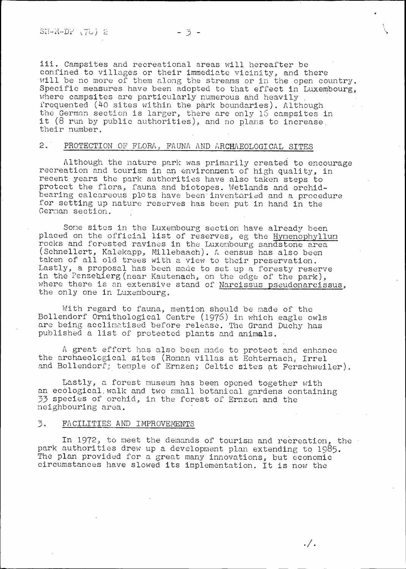iii. Campsites and recreational areas will hereafter be confined to villages or their immediate vicinity, and there will be no more of them along the streams or in the open country Specific measures have been adopted to that effect in Luxembourg, where campsites are particularly numerous and heavily frequented (40 sites within the park boundaries). Although the German section is larger, there are only 16 campsites in it (8 run by public authorities), and no plans to increase. their number.

## 2. PROTECTION OF FLORA, FAUNA AND ARCHAEOLOGICAL SITES

Although the nature park was primarily created to encourage recreation and tourism in an environment of high quality, in recent years the park authorities have also taken steps to protect the flora, fauna and biotopes. Wetlands and orchidbearing calcareous plots have been'inventoried and a procedure for setting up nature reserves has been put in hand in the German section.

Some sites in the Luxembourg section have already been placed on the official list of reserves, eg the Hymenophy1lum rocks and forested ravines in the Luxembourg sandstone area (Schnellert, Kalekapp, Millebaach). A census has also been taken of all old trees with a view to their preservation. Lastly, a proposal has been made to set up a foresty reserve in the Penzebierg(near Kautenach, on the edge of the park), where there is an extensive stand of <u>Narcissus pseudonarcissus</u>, the only one in Luxembourg.

With regard to fauna, mention should be made of the Bollendorf Ornithological Centre (1976) in which eagle owls are being acclimatised before release. The Grand Duchy has published a list of protected plants and animals.

A great effort has also been made to protect and enhance the archaeological sites (Roman villas at Echternach, Irrel and Bollendorf; temple of Ernzen; Celtic sites at Ferschweiler).

Lastly, a forest museum has been opened together with an ecological.walk and two small botanical gardens containing 33 species of orchid, in the forest of Ernzen'and the neighbouring area.

#### 3. FACILITIES AND IMPROVEMENTS

In 1972, to meet the demands of tourism and recreation, the park authorities drew up a development plan extending to 1985. The plan provided for a great many innovations, but economic circumstances have slowed its implementation. It is now the

 $\cdot /$  .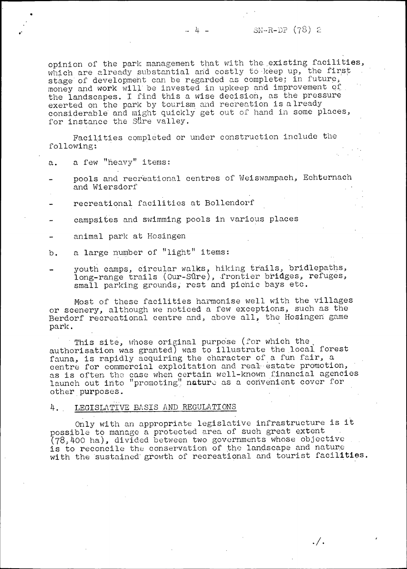opinion of the park management that with the existing facilities, which are already substantial and costly to keep up, the first stage of development can be regarded as complete; in future, money and work will be invested in upkeep and improvement of the landscapes. I find this a wise decision, as the pressure exerted on the park by tourism and recreation is already considerable and might quickly get out of hand in some places, for instance the Sure valley.

Facilities completed or under construction include the followings

- a. a few "heavy" items:
- pools and recreational centres of Weiswampach, Echternach and Wiersdorf
- recreational facilities at Bollendorf
- campsites and swimming pools in various places
- animal park at Hosingen
- b. a large number of "light" items;
- youth camps, circular walks, hiking trails, bridlepaths, long-range trails (Our-Sûre), frontier bridges, refuges, small parking grounds, rest and picnic bays etc.

Most of these facilities harmonise well with the villages or scenery, although we noticed a few exceptions, such as the Berdorf recreational centre and, above all, the Hosingen game park.

This site, whose original purpose (for which the authorisation was granted) was to illustrate the local, forest fauna, is rapidly acquiring the character of a fun fair, a centre for commercial exploitation and real-estate promotion, as is often the case when certain well-known financial agencies launch out into "promoting" nature as a convenient cover for other purposes.

#### 4. . LEGISLATIVE BASIS AND REGULATIONS

Only with an appropriate legislative infrastructure is it possible to manage a protected area of such great extent (78,400 ha), divided between two governments whose objective is to reconcile the conservation of the landscape and nature with the sustained growth of recreational and tourist facilities.

 $\cdot / \cdot$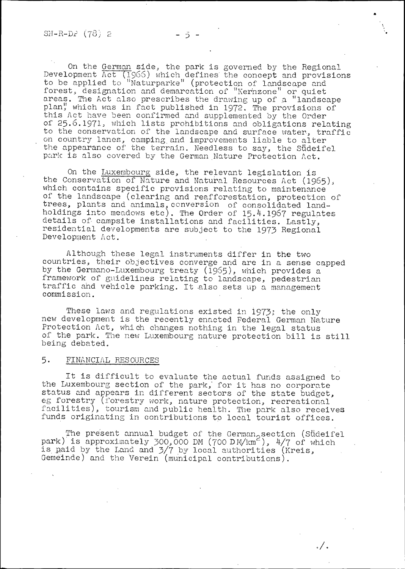\*

On the German side, the park is governed by the Regional Development Act **(T965)** which defines' the concept and provisions to be applied to "Naturparke" (protection of landscape and forest, designation and demarcation of "Kernzone" or quiet areas. The Act also prescribes the drawing up of a "landscape plan**<sup>y</sup>** which was in fact published in **1972.** The provisions of this Act have been confirmed and supplemented by the Order of 25.6.1971, which lists prohibitions and obligations relating to the conservation of the landscape and surface water, traffic on country lanes, camping and improvements liable to alter the appearance of the terrain. Needless to say, the Südeifel park is also covered by the German Nature Protection Act.

On the Luxembourg side, the relevant legislation is the Conservation of Nature and Natural Resources Act (1965), which contains specific provisions relating to maintenance of the landscape (clearing and reafforestation, protection of trees, plants and animals,conversion of consolidated landholdings into meadows etc). The Order of 15.4.1967 regulates details of- campsite installations and facilities. Lastly, residential developments are subject to the 1973 Regional Development Act.

Although these legal instruments differ in the two countries, their objectives converge and are in a sense capped by the Gerrnano-Luxembourg treaty (1965), which provides a framework of guidelines relating to landscape, pedestrian traffic and vehicle parking. It also sets up a management commission.

These laws and regulations existed in 1973; the only new development is the recently enacted Federal German Nature Protection Act, which changes nothing in the legal status of the park. The new Luxembourg nature protection bill is. still being debated.

## 5- FINANCIAL RESOURCES

It is difficult to evaluate the actual funds assigned to the Luxembourg section of the park,' for it has no corporate status and appears in different sectors of the state budget, eg forestry (forestry work, nature protection, recreational facilities), tourism and public health. The park also receives funds originating in contributions to local tourist offices.

The present annual budget of the German<sub>o</sub> section (Sudeifel park) is approximately 300,000 DM (700 DM/km<sup>2</sup>), 4/7 of which is paid by the Land and 3/7 by local authorities (Kreis, Gemeinde) and the Verein (municipal contributions).

./.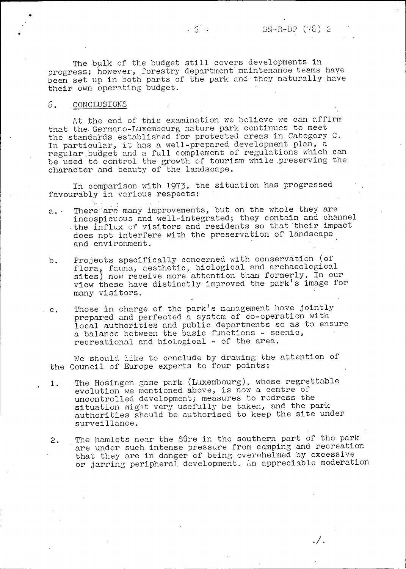The bulk of the budget still covers developments in progress; however, forestry department maintenance teams have been set up in both parts of the park and they naturally have their own operating budget.

 $5 - 5$ 

#### 6. CONCLUSIONS.

At the end of this examination we believe we can affirm that the- Germano-Luxembourg nature park continues to meet the standards, established for protected areas in Category C. In particular, it has a well-prepared development plan, a regular budget and a full complement of regulations which can be used to control the growth of tourism while .preserving the character and beauty of the landscape.

In comparison with 1973, the situation has progressed favourably in various respects:

- a. There are many improvements, but on the whole they are incospicuous and well-integrated; they contain and channel the influx of visitors and residents so that their impact does not interfere with the preservation of landscape and environment.
- b. Projects specifically concerned with conservation (of flora, fauna, aesthetic, biological and archaeological sites) now receive more attention than formerly. In our view these have distinctly improved the park's image for many visitors.
- c. Those in charge of the park's management have jointly prepared and perfected a system of co-operation with local authorities and public departments so as to ensure a balance between the basic functions - scenic, recreational and biological - of the area.

We should like to conclude by drawing the attention of the Council of Europe experts to four points:

- 1. The Hosingen game park (Luxembourg), whose regrettable evolution we mentioned above, is now a centre of uncontrolled development; measures to redress the situation might very usefully be taken, and the park authorities should be authorised to keep the site under surveillance.
- 2. The hamlets near the Sûre in the southern part of the park are under such intense pressure from camping and recreation that they are in danger of being overwhelmed by excessive. or jarring peripheral development. An appreciable moderation